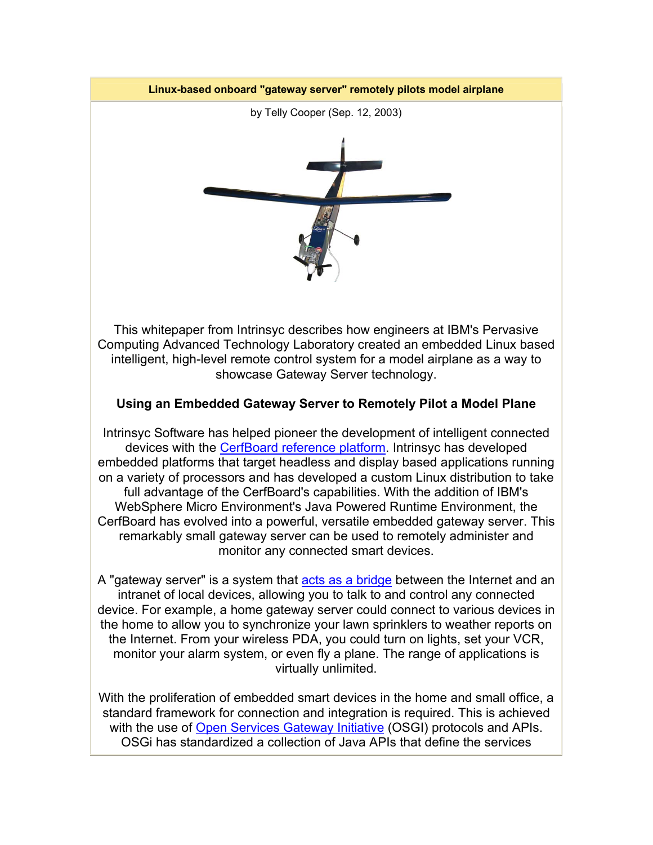

This whitepaper from Intrinsyc describes how engineers at IBM's Pervasive Computing Advanced Technology Laboratory created an embedded Linux based intelligent, high-level remote control system for a model airplane as a way to showcase Gateway Server technology.

## **Using an Embedded Gateway Server to Remotely Pilot a Model Plane**

Intrinsyc Software has helped pioneer the development of intelligent connected devices with the CerfBoard reference platform. Intrinsyc has developed embedded platforms that target headless and display based applications running on a variety of processors and has developed a custom Linux distribution to take full advantage of the CerfBoard's capabilities. With the addition of IBM's WebSphere Micro Environment's Java Powered Runtime Environment, the CerfBoard has evolved into a powerful, versatile embedded gateway server. This remarkably small gateway server can be used to remotely administer and monitor any connected smart devices.

A "gateway server" is a system that acts as a bridge between the Internet and an intranet of local devices, allowing you to talk to and control any connected device. For example, a home gateway server could connect to various devices in the home to allow you to synchronize your lawn sprinklers to weather reports on the Internet. From your wireless PDA, you could turn on lights, set your VCR, monitor your alarm system, or even fly a plane. The range of applications is virtually unlimited.

With the proliferation of embedded smart devices in the home and small office, a standard framework for connection and integration is required. This is achieved with the use of Open Services Gateway Initiative (OSGI) protocols and APIs. OSGi has standardized a collection of Java APIs that define the services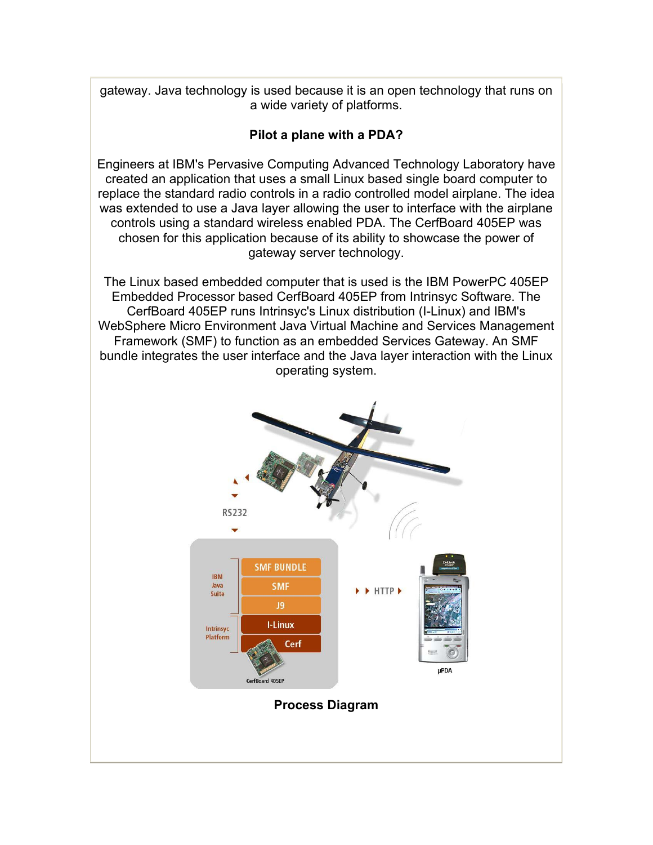gateway. Java technology is used because it is an open technology that runs on a wide variety of platforms.

## **Pilot a plane with a PDA?**

Engineers at IBM's Pervasive Computing Advanced Technology Laboratory have created an application that uses a small Linux based single board computer to replace the standard radio controls in a radio controlled model airplane. The idea was extended to use a Java layer allowing the user to interface with the airplane controls using a standard wireless enabled PDA. The CerfBoard 405EP was chosen for this application because of its ability to showcase the power of gateway server technology.

The Linux based embedded computer that is used is the IBM PowerPC 405EP Embedded Processor based CerfBoard 405EP from Intrinsyc Software. The CerfBoard 405EP runs Intrinsyc's Linux distribution (I-Linux) and IBM's WebSphere Micro Environment Java Virtual Machine and Services Management Framework (SMF) to function as an embedded Services Gateway. An SMF bundle integrates the user interface and the Java layer interaction with the Linux operating system.

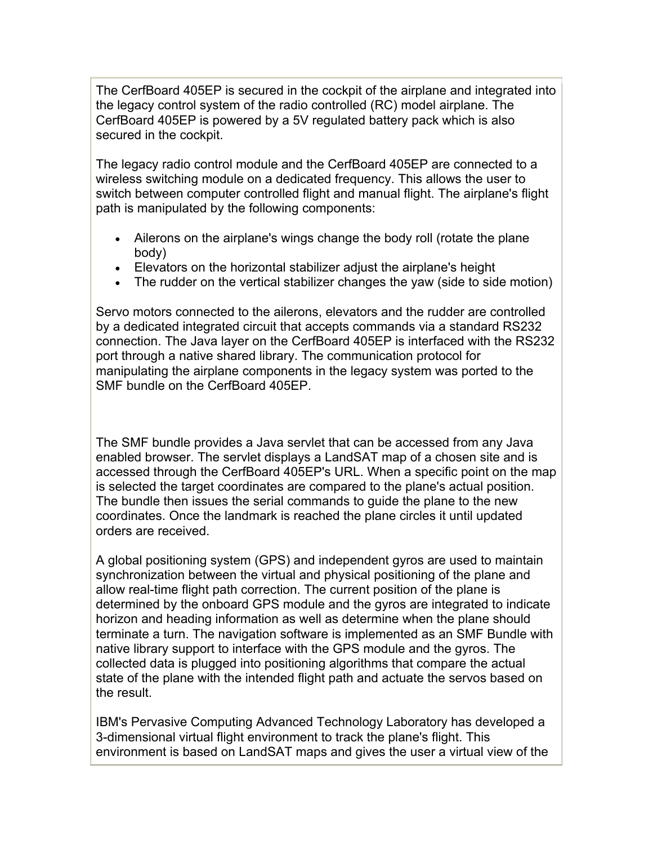The CerfBoard 405EP is secured in the cockpit of the airplane and integrated into the legacy control system of the radio controlled (RC) model airplane. The CerfBoard 405EP is powered by a 5V regulated battery pack which is also secured in the cockpit.

The legacy radio control module and the CerfBoard 405EP are connected to a wireless switching module on a dedicated frequency. This allows the user to switch between computer controlled flight and manual flight. The airplane's flight path is manipulated by the following components:

- Ailerons on the airplane's wings change the body roll (rotate the plane body)
- Elevators on the horizontal stabilizer adjust the airplane's height
- The rudder on the vertical stabilizer changes the yaw (side to side motion)

Servo motors connected to the ailerons, elevators and the rudder are controlled by a dedicated integrated circuit that accepts commands via a standard RS232 connection. The Java layer on the CerfBoard 405EP is interfaced with the RS232 port through a native shared library. The communication protocol for manipulating the airplane components in the legacy system was ported to the SMF bundle on the CerfBoard 405EP.

The SMF bundle provides a Java servlet that can be accessed from any Java enabled browser. The servlet displays a LandSAT map of a chosen site and is accessed through the CerfBoard 405EP's URL. When a specific point on the map is selected the target coordinates are compared to the plane's actual position. The bundle then issues the serial commands to guide the plane to the new coordinates. Once the landmark is reached the plane circles it until updated orders are received.

A global positioning system (GPS) and independent gyros are used to maintain synchronization between the virtual and physical positioning of the plane and allow real-time flight path correction. The current position of the plane is determined by the onboard GPS module and the gyros are integrated to indicate horizon and heading information as well as determine when the plane should terminate a turn. The navigation software is implemented as an SMF Bundle with native library support to interface with the GPS module and the gyros. The collected data is plugged into positioning algorithms that compare the actual state of the plane with the intended flight path and actuate the servos based on the result.

IBM's Pervasive Computing Advanced Technology Laboratory has developed a 3-dimensional virtual flight environment to track the plane's flight. This environment is based on LandSAT maps and gives the user a virtual view of the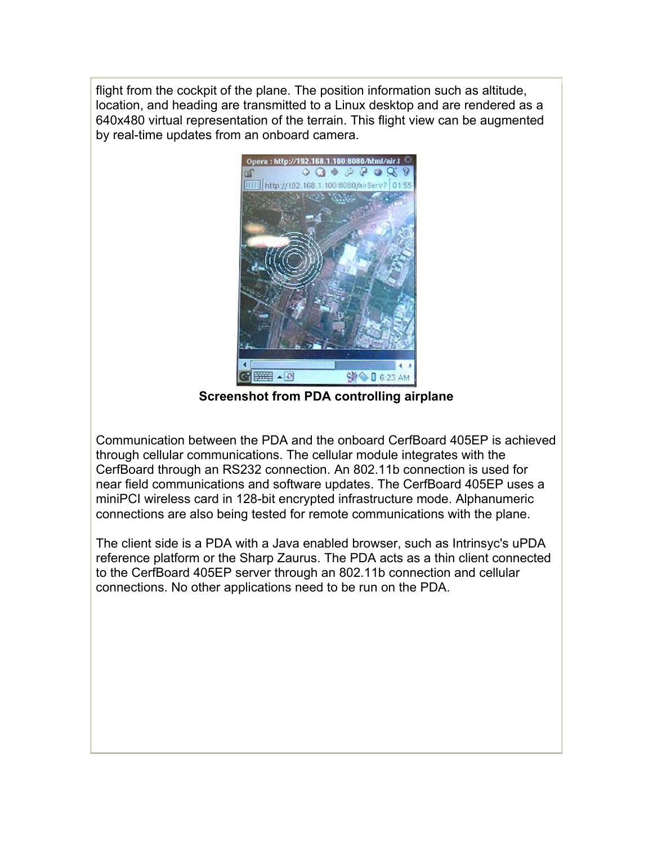flight from the cockpit of the plane. The position information such as altitude, location, and heading are transmitted to a Linux desktop and are rendered as a 640x480 virtual representation of the terrain. This flight view can be augmented by real-time updates from an onboard camera.



**Screenshot from PDA controlling airplane**

Communication between the PDA and the onboard CerfBoard 405EP is achieved through cellular communications. The cellular module integrates with the CerfBoard through an RS232 connection. An 802.11b connection is used for near field communications and software updates. The CerfBoard 405EP uses a miniPCI wireless card in 128-bit encrypted infrastructure mode. Alphanumeric connections are also being tested for remote communications with the plane.

The client side is a PDA with a Java enabled browser, such as Intrinsyc's uPDA reference platform or the Sharp Zaurus. The PDA acts as a thin client connected to the CerfBoard 405EP server through an 802.11b connection and cellular connections. No other applications need to be run on the PDA.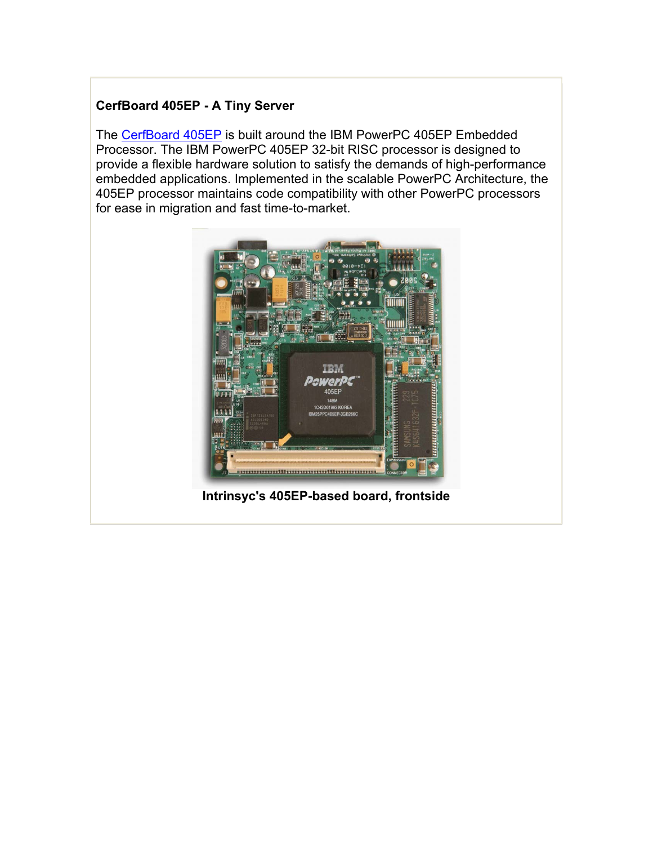### **CerfBoard 405EP - A Tiny Server**

The CerfBoard 405EP is built around the IBM PowerPC 405EP Embedded Processor. The IBM PowerPC 405EP 32-bit RISC processor is designed to provide a flexible hardware solution to satisfy the demands of high-performance embedded applications. Implemented in the scalable PowerPC Architecture, the 405EP processor maintains code compatibility with other PowerPC processors for ease in migration and fast time-to-market.



**Intrinsyc's 405EP-based board, frontside**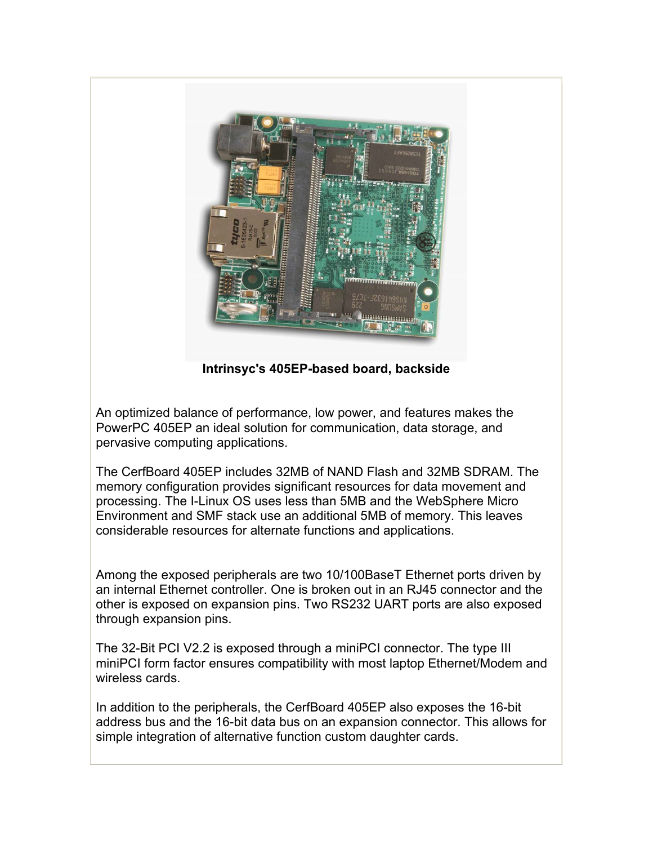

**Intrinsyc's 405EP-based board, backside**

An optimized balance of performance, low power, and features makes the PowerPC 405EP an ideal solution for communication, data storage, and pervasive computing applications.

The CerfBoard 405EP includes 32MB of NAND Flash and 32MB SDRAM. The memory configuration provides significant resources for data movement and processing. The I-Linux OS uses less than 5MB and the WebSphere Micro Environment and SMF stack use an additional 5MB of memory. This leaves considerable resources for alternate functions and applications.

Among the exposed peripherals are two 10/100BaseT Ethernet ports driven by an internal Ethernet controller. One is broken out in an RJ45 connector and the other is exposed on expansion pins. Two RS232 UART ports are also exposed through expansion pins.

The 32-Bit PCI V2.2 is exposed through a miniPCI connector. The type III miniPCI form factor ensures compatibility with most laptop Ethernet/Modem and wireless cards.

In addition to the peripherals, the CerfBoard 405EP also exposes the 16-bit address bus and the 16-bit data bus on an expansion connector. This allows for simple integration of alternative function custom daughter cards.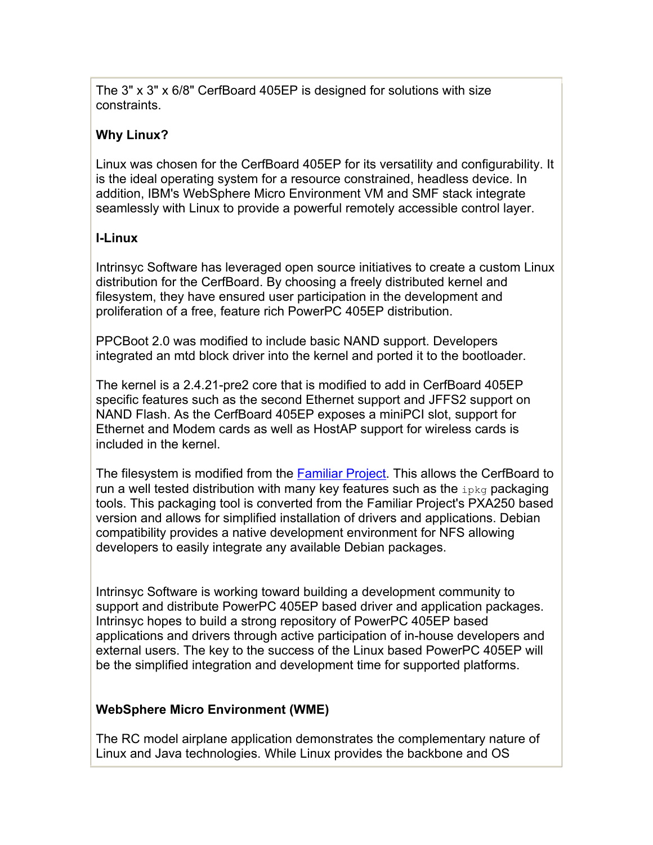The 3" x 3" x 6/8" CerfBoard 405EP is designed for solutions with size constraints.

# **Why Linux?**

Linux was chosen for the CerfBoard 405EP for its versatility and configurability. It is the ideal operating system for a resource constrained, headless device. In addition, IBM's WebSphere Micro Environment VM and SMF stack integrate seamlessly with Linux to provide a powerful remotely accessible control layer.

## **I-Linux**

Intrinsyc Software has leveraged open source initiatives to create a custom Linux distribution for the CerfBoard. By choosing a freely distributed kernel and filesystem, they have ensured user participation in the development and proliferation of a free, feature rich PowerPC 405EP distribution.

PPCBoot 2.0 was modified to include basic NAND support. Developers integrated an mtd block driver into the kernel and ported it to the bootloader.

The kernel is a 2.4.21-pre2 core that is modified to add in CerfBoard 405EP specific features such as the second Ethernet support and JFFS2 support on NAND Flash. As the CerfBoard 405EP exposes a miniPCI slot, support for Ethernet and Modem cards as well as HostAP support for wireless cards is included in the kernel.

The filesystem is modified from the **Familiar Project**. This allows the CerfBoard to run a well tested distribution with many key features such as the  $ip\bar{k}q$  packaging tools. This packaging tool is converted from the Familiar Project's PXA250 based version and allows for simplified installation of drivers and applications. Debian compatibility provides a native development environment for NFS allowing developers to easily integrate any available Debian packages.

Intrinsyc Software is working toward building a development community to support and distribute PowerPC 405EP based driver and application packages. Intrinsyc hopes to build a strong repository of PowerPC 405EP based applications and drivers through active participation of in-house developers and external users. The key to the success of the Linux based PowerPC 405EP will be the simplified integration and development time for supported platforms.

## **WebSphere Micro Environment (WME)**

The RC model airplane application demonstrates the complementary nature of Linux and Java technologies. While Linux provides the backbone and OS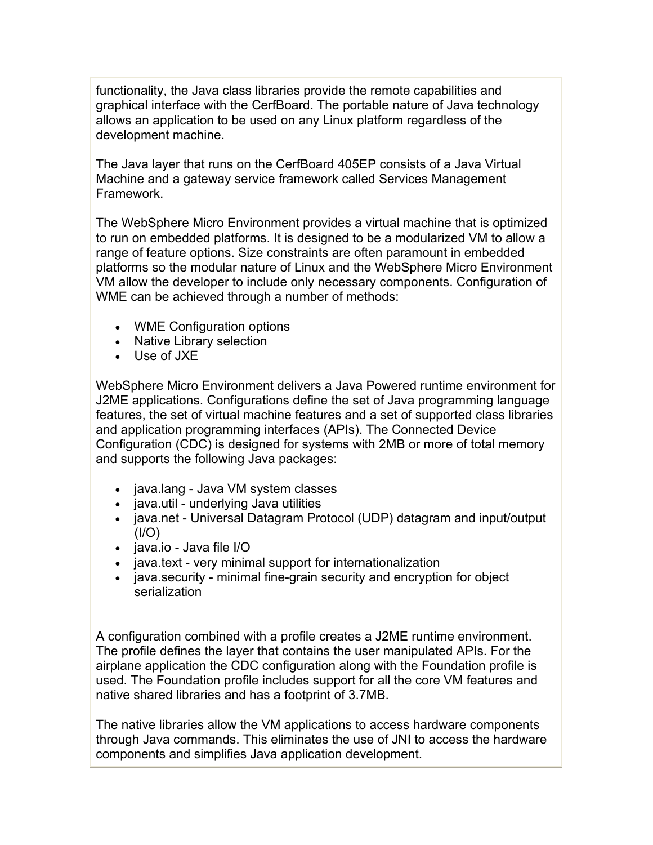functionality, the Java class libraries provide the remote capabilities and graphical interface with the CerfBoard. The portable nature of Java technology allows an application to be used on any Linux platform regardless of the development machine.

The Java layer that runs on the CerfBoard 405EP consists of a Java Virtual Machine and a gateway service framework called Services Management Framework.

The WebSphere Micro Environment provides a virtual machine that is optimized to run on embedded platforms. It is designed to be a modularized VM to allow a range of feature options. Size constraints are often paramount in embedded platforms so the modular nature of Linux and the WebSphere Micro Environment VM allow the developer to include only necessary components. Configuration of WME can be achieved through a number of methods:

- WME Configuration options
- Native Library selection
- Use of JXE

WebSphere Micro Environment delivers a Java Powered runtime environment for J2ME applications. Configurations define the set of Java programming language features, the set of virtual machine features and a set of supported class libraries and application programming interfaces (APIs). The Connected Device Configuration (CDC) is designed for systems with 2MB or more of total memory and supports the following Java packages:

- java.lang Java VM system classes
- java.util underlying Java utilities
- java.net Universal Datagram Protocol (UDP) datagram and input/output  $(1/O)$
- java.io Java file I/O
- java.text very minimal support for internationalization
- java.security minimal fine-grain security and encryption for object serialization

A configuration combined with a profile creates a J2ME runtime environment. The profile defines the layer that contains the user manipulated APIs. For the airplane application the CDC configuration along with the Foundation profile is used. The Foundation profile includes support for all the core VM features and native shared libraries and has a footprint of 3.7MB.

The native libraries allow the VM applications to access hardware components through Java commands. This eliminates the use of JNI to access the hardware components and simplifies Java application development.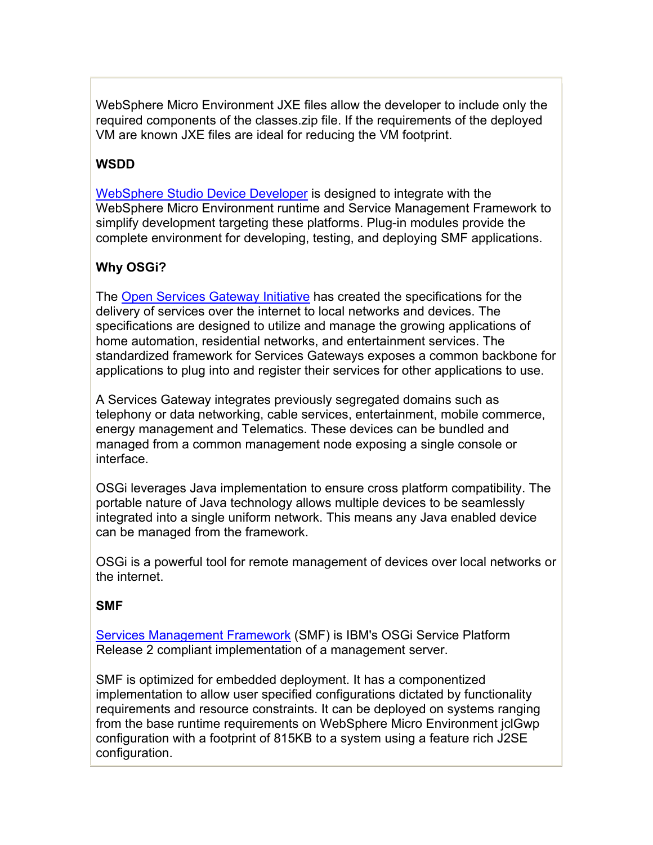WebSphere Micro Environment JXE files allow the developer to include only the required components of the classes.zip file. If the requirements of the deployed VM are known JXE files are ideal for reducing the VM footprint.

# **WSDD**

WebSphere Studio Device Developer is designed to integrate with the WebSphere Micro Environment runtime and Service Management Framework to simplify development targeting these platforms. Plug-in modules provide the complete environment for developing, testing, and deploying SMF applications.

# **Why OSGi?**

The Open Services Gateway Initiative has created the specifications for the delivery of services over the internet to local networks and devices. The specifications are designed to utilize and manage the growing applications of home automation, residential networks, and entertainment services. The standardized framework for Services Gateways exposes a common backbone for applications to plug into and register their services for other applications to use.

A Services Gateway integrates previously segregated domains such as telephony or data networking, cable services, entertainment, mobile commerce, energy management and Telematics. These devices can be bundled and managed from a common management node exposing a single console or interface.

OSGi leverages Java implementation to ensure cross platform compatibility. The portable nature of Java technology allows multiple devices to be seamlessly integrated into a single uniform network. This means any Java enabled device can be managed from the framework.

OSGi is a powerful tool for remote management of devices over local networks or the internet.

#### **SMF**

Services Management Framework (SMF) is IBM's OSGi Service Platform Release 2 compliant implementation of a management server.

SMF is optimized for embedded deployment. It has a componentized implementation to allow user specified configurations dictated by functionality requirements and resource constraints. It can be deployed on systems ranging from the base runtime requirements on WebSphere Micro Environment jclGwp configuration with a footprint of 815KB to a system using a feature rich J2SE configuration.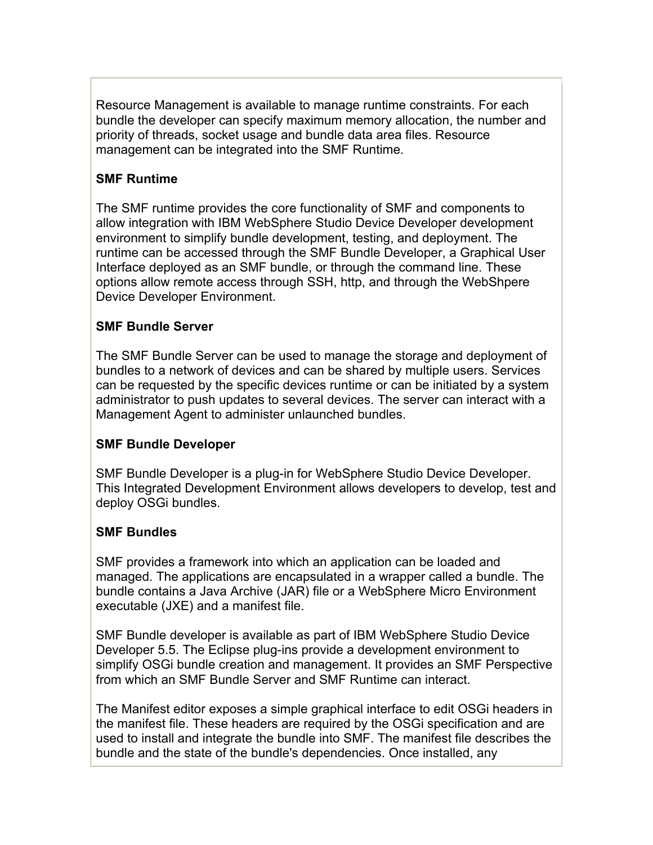Resource Management is available to manage runtime constraints. For each bundle the developer can specify maximum memory allocation, the number and priority of threads, socket usage and bundle data area files. Resource management can be integrated into the SMF Runtime.

## **SMF Runtime**

The SMF runtime provides the core functionality of SMF and components to allow integration with IBM WebSphere Studio Device Developer development environment to simplify bundle development, testing, and deployment. The runtime can be accessed through the SMF Bundle Developer, a Graphical User Interface deployed as an SMF bundle, or through the command line. These options allow remote access through SSH, http, and through the WebShpere Device Developer Environment.

#### **SMF Bundle Server**

The SMF Bundle Server can be used to manage the storage and deployment of bundles to a network of devices and can be shared by multiple users. Services can be requested by the specific devices runtime or can be initiated by a system administrator to push updates to several devices. The server can interact with a Management Agent to administer unlaunched bundles.

#### **SMF Bundle Developer**

SMF Bundle Developer is a plug-in for WebSphere Studio Device Developer. This Integrated Development Environment allows developers to develop, test and deploy OSGi bundles.

#### **SMF Bundles**

SMF provides a framework into which an application can be loaded and managed. The applications are encapsulated in a wrapper called a bundle. The bundle contains a Java Archive (JAR) file or a WebSphere Micro Environment executable (JXE) and a manifest file.

SMF Bundle developer is available as part of IBM WebSphere Studio Device Developer 5.5. The Eclipse plug-ins provide a development environment to simplify OSGi bundle creation and management. It provides an SMF Perspective from which an SMF Bundle Server and SMF Runtime can interact.

The Manifest editor exposes a simple graphical interface to edit OSGi headers in the manifest file. These headers are required by the OSGi specification and are used to install and integrate the bundle into SMF. The manifest file describes the bundle and the state of the bundle's dependencies. Once installed, any